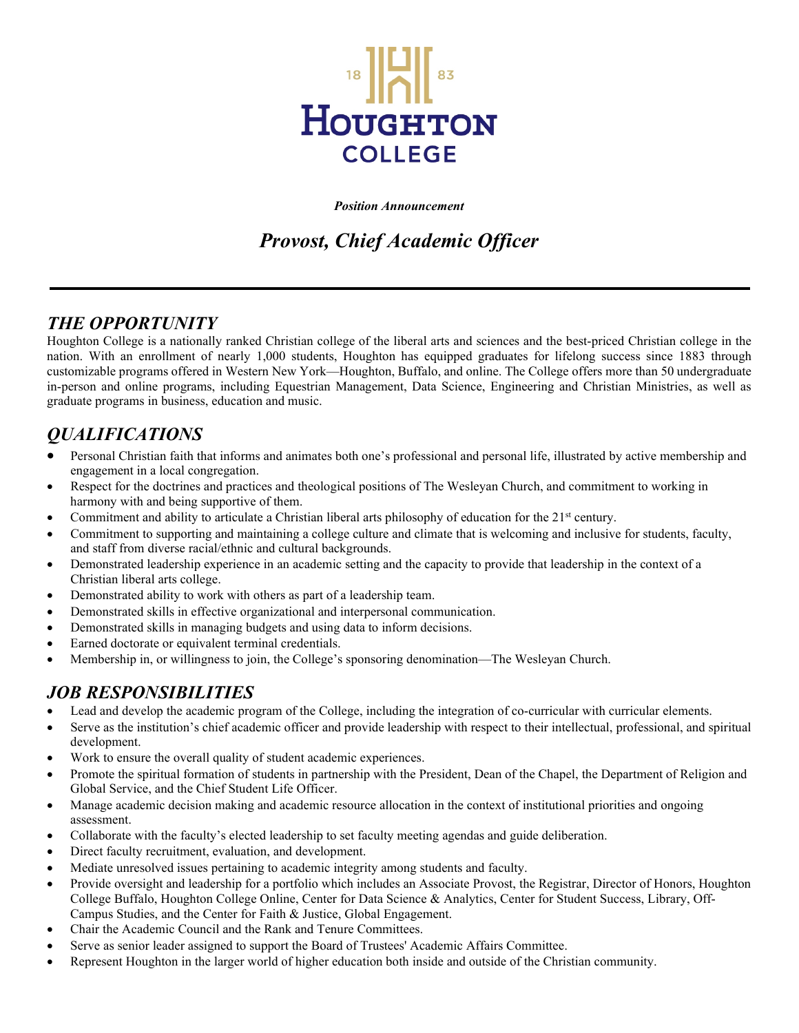

*Position Announcement*

# *Provost, Chief Academic Officer*

#### *THE OPPORTUNITY*

Houghton College is a nationally ranked Christian college of the liberal arts and sciences and the best-priced Christian college in the nation. With an enrollment of nearly 1,000 students, Houghton has equipped graduates for lifelong success since 1883 through customizable programs offered in Western New York—Houghton, Buffalo, and online. The College offers more than 50 undergraduate in-person and online programs, including Equestrian Management, Data Science, Engineering and Christian Ministries, as well as graduate programs in business, education and music.

## *QUALIFICATIONS*

- Personal Christian faith that informs and animates both one's professional and personal life, illustrated by active membership and engagement in a local congregation.
- Respect for the doctrines and practices and theological positions of The Wesleyan Church, and commitment to working in harmony with and being supportive of them.
- Commitment and ability to articulate a Christian liberal arts philosophy of education for the 21<sup>st</sup> century.
- Commitment to supporting and maintaining a college culture and climate that is welcoming and inclusive for students, faculty, and staff from diverse racial/ethnic and cultural backgrounds.
- Demonstrated leadership experience in an academic setting and the capacity to provide that leadership in the context of a Christian liberal arts college.
- Demonstrated ability to work with others as part of a leadership team.
- Demonstrated skills in effective organizational and interpersonal communication.
- Demonstrated skills in managing budgets and using data to inform decisions.
- Earned doctorate or equivalent terminal credentials.
- Membership in, or willingness to join, the College's sponsoring denomination—The Wesleyan Church.

#### *JOB RESPONSIBILITIES*

- Lead and develop the academic program of the College, including the integration of co-curricular with curricular elements.
- Serve as the institution's chief academic officer and provide leadership with respect to their intellectual, professional, and spiritual development.
- Work to ensure the overall quality of student academic experiences.
- Promote the spiritual formation of students in partnership with the President, Dean of the Chapel, the Department of Religion and Global Service, and the Chief Student Life Officer.
- Manage academic decision making and academic resource allocation in the context of institutional priorities and ongoing assessment.
- Collaborate with the faculty's elected leadership to set faculty meeting agendas and guide deliberation.
- Direct faculty recruitment, evaluation, and development.
- Mediate unresolved issues pertaining to academic integrity among students and faculty.
- Provide oversight and leadership for a portfolio which includes an Associate Provost, the Registrar, Director of Honors, Houghton College Buffalo, Houghton College Online, Center for Data Science & Analytics, Center for Student Success, Library, Off-Campus Studies, and the Center for Faith & Justice, Global Engagement.
- Chair the Academic Council and the Rank and Tenure Committees.
- Serve as senior leader assigned to support the Board of Trustees' Academic Affairs Committee.
- Represent Houghton in the larger world of higher education both inside and outside of the Christian community.